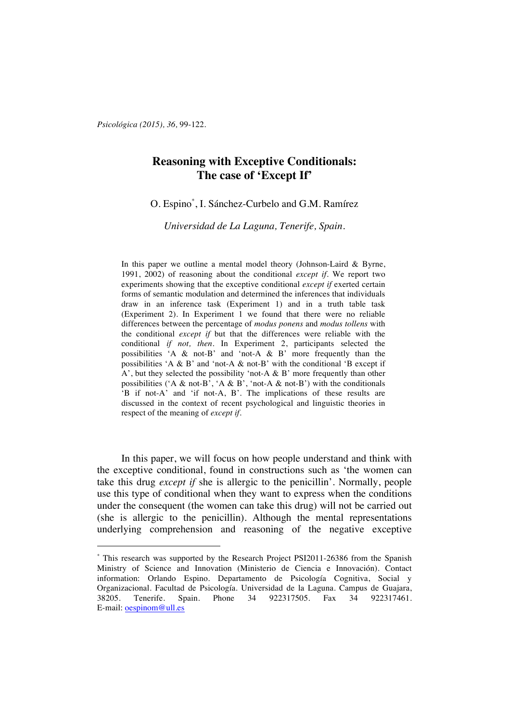*Psicológica (2015), 36,* 99-122.

 $\overline{a}$ 

# **Reasoning with Exceptive Conditionals: The case of 'Except If'**

O. Espino\* , I. Sánchez-Curbelo and G.M. Ramírez

*Universidad de La Laguna, Tenerife, Spain.*

In this paper we outline a mental model theory (Johnson-Laird  $\&$  Byrne, 1991, 2002) of reasoning about the conditional *except if*. We report two experiments showing that the exceptive conditional *except if* exerted certain forms of semantic modulation and determined the inferences that individuals draw in an inference task (Experiment 1) and in a truth table task (Experiment 2). In Experiment 1 we found that there were no reliable differences between the percentage of *modus ponens* and *modus tollens* with the conditional *except if* but that the differences were reliable with the conditional *if not, then*. In Experiment 2, participants selected the possibilities 'A & not-B' and 'not-A & B' more frequently than the possibilities 'A & B' and 'not-A & not-B' with the conditional 'B except if A', but they selected the possibility 'not-A  $\&$  B' more frequently than other possibilities ('A & not-B', 'A & B', 'not-A & not-B') with the conditionals 'B if not-A' and 'if not-A, B'. The implications of these results are discussed in the context of recent psychological and linguistic theories in respect of the meaning of *except if*.

In this paper, we will focus on how people understand and think with the exceptive conditional, found in constructions such as 'the women can take this drug *except if* she is allergic to the penicillin'. Normally, people use this type of conditional when they want to express when the conditions under the consequent (the women can take this drug) will not be carried out (she is allergic to the penicillin). Although the mental representations underlying comprehension and reasoning of the negative exceptive

<sup>\*</sup> This research was supported by the Research Project PSI2011-26386 from the Spanish Ministry of Science and Innovation (Ministerio de Ciencia e Innovación). Contact information: Orlando Espino. Departamento de Psicología Cognitiva, Social y Organizacional. Facultad de Psicología. Universidad de la Laguna. Campus de Guajara, 38205. Tenerife. Spain. Phone 34 922317505. Fax 34 E-mail: oespinom@ull.es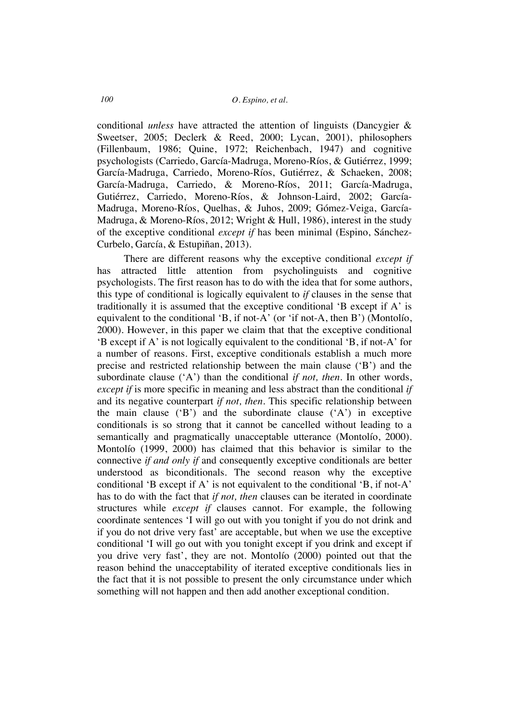conditional *unless* have attracted the attention of linguists (Dancygier & Sweetser, 2005; Declerk & Reed, 2000; Lycan, 2001), philosophers (Fillenbaum, 1986; Quine, 1972; Reichenbach, 1947) and cognitive psychologists (Carriedo, García-Madruga, Moreno-Ríos, & Gutiérrez, 1999; García-Madruga, Carriedo, Moreno-Ríos, Gutiérrez, & Schaeken, 2008; García-Madruga, Carriedo, & Moreno-Ríos, 2011; García-Madruga, Gutiérrez, Carriedo, Moreno-Ríos, & Johnson-Laird, 2002; García-Madruga, Moreno-Ríos, Quelhas, & Juhos, 2009; Gómez-Veiga, García-Madruga, & Moreno-Ríos, 2012; Wright & Hull, 1986), interest in the study of the exceptive conditional *except if* has been minimal (Espino, Sánchez-Curbelo, García, & Estupiñan, 2013).

There are different reasons why the exceptive conditional *except if* has attracted little attention from psycholinguists and cognitive psychologists. The first reason has to do with the idea that for some authors, this type of conditional is logically equivalent to *if* clauses in the sense that traditionally it is assumed that the exceptive conditional 'B except if A' is equivalent to the conditional 'B, if not-A' (or 'if not-A, then B') (Montolío, 2000). However, in this paper we claim that that the exceptive conditional 'B except if A' is not logically equivalent to the conditional 'B, if not-A' for a number of reasons. First, exceptive conditionals establish a much more precise and restricted relationship between the main clause ('B') and the subordinate clause ('A') than the conditional *if not, then*. In other words, *except if* is more specific in meaning and less abstract than the conditional *if* and its negative counterpart *if not, then*. This specific relationship between the main clause  $(B')$  and the subordinate clause  $(A')$  in exceptive conditionals is so strong that it cannot be cancelled without leading to a semantically and pragmatically unacceptable utterance (Montolío, 2000). Montolío (1999, 2000) has claimed that this behavior is similar to the connective *if and only if* and consequently exceptive conditionals are better understood as biconditionals. The second reason why the exceptive conditional 'B except if A' is not equivalent to the conditional 'B, if not-A' has to do with the fact that *if not, then* clauses can be iterated in coordinate structures while *except if* clauses cannot. For example, the following coordinate sentences 'I will go out with you tonight if you do not drink and if you do not drive very fast' are acceptable, but when we use the exceptive conditional 'I will go out with you tonight except if you drink and except if you drive very fast', they are not. Montolío (2000) pointed out that the reason behind the unacceptability of iterated exceptive conditionals lies in the fact that it is not possible to present the only circumstance under which something will not happen and then add another exceptional condition.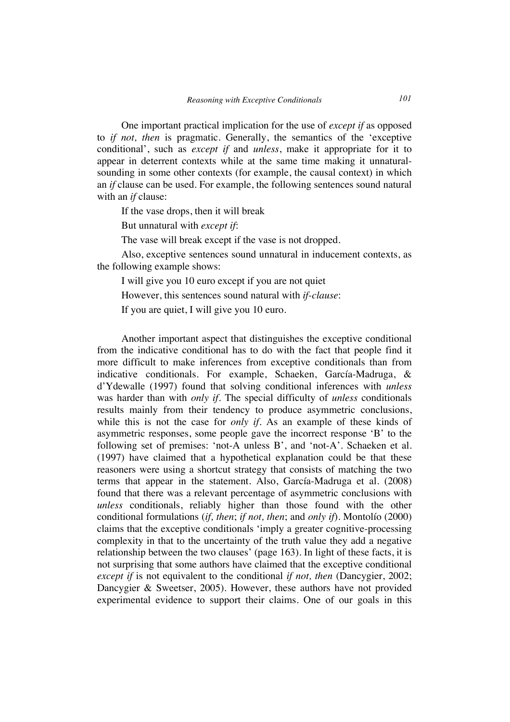One important practical implication for the use of *except if* as opposed to *if not, then* is pragmatic. Generally, the semantics of the 'exceptive conditional', such as *except if* and *unless*, make it appropriate for it to appear in deterrent contexts while at the same time making it unnaturalsounding in some other contexts (for example, the causal context) in which an *if* clause can be used. For example, the following sentences sound natural with an *if* clause:

If the vase drops, then it will break

But unnatural with *except if*:

The vase will break except if the vase is not dropped.

Also, exceptive sentences sound unnatural in inducement contexts, as the following example shows:

I will give you 10 euro except if you are not quiet

However, this sentences sound natural with *if-clause*:

If you are quiet, I will give you 10 euro.

Another important aspect that distinguishes the exceptive conditional from the indicative conditional has to do with the fact that people find it more difficult to make inferences from exceptive conditionals than from indicative conditionals. For example, Schaeken, García-Madruga, & d'Ydewalle (1997) found that solving conditional inferences with *unless* was harder than with *only if*. The special difficulty of *unless* conditionals results mainly from their tendency to produce asymmetric conclusions, while this is not the case for *only if*. As an example of these kinds of asymmetric responses, some people gave the incorrect response 'B' to the following set of premises: 'not-A unless B', and 'not-A'. Schaeken et al. (1997) have claimed that a hypothetical explanation could be that these reasoners were using a shortcut strategy that consists of matching the two terms that appear in the statement. Also, García-Madruga et al. (2008) found that there was a relevant percentage of asymmetric conclusions with *unless* conditionals, reliably higher than those found with the other conditional formulations (*if, then*; *if not, then*; and *only if*). Montolío (2000) claims that the exceptive conditionals 'imply a greater cognitive-processing complexity in that to the uncertainty of the truth value they add a negative relationship between the two clauses' (page 163). In light of these facts, it is not surprising that some authors have claimed that the exceptive conditional *except if* is not equivalent to the conditional *if not, then* (Dancygier, 2002; Dancygier & Sweetser, 2005). However, these authors have not provided experimental evidence to support their claims. One of our goals in this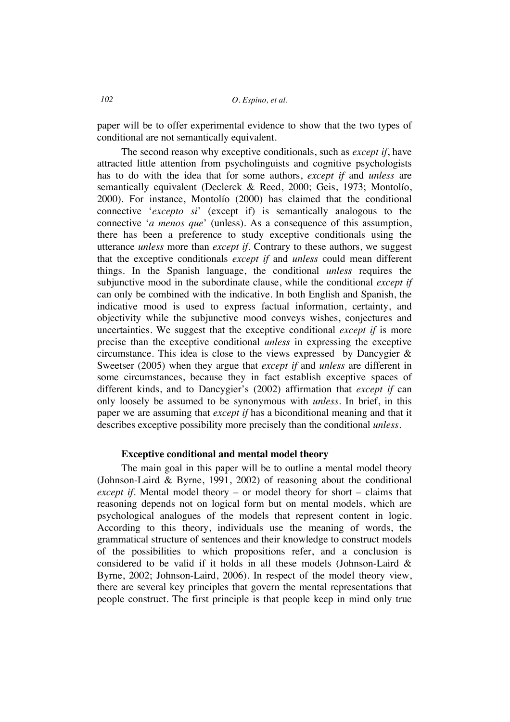paper will be to offer experimental evidence to show that the two types of conditional are not semantically equivalent.

The second reason why exceptive conditionals, such as *except if*, have attracted little attention from psycholinguists and cognitive psychologists has to do with the idea that for some authors, *except if* and *unless* are semantically equivalent (Declerck & Reed, 2000; Geis, 1973; Montolío, 2000). For instance, Montolío (2000) has claimed that the conditional connective '*excepto si*' (except if) is semantically analogous to the connective '*a menos que*' (unless). As a consequence of this assumption, there has been a preference to study exceptive conditionals using the utterance *unless* more than *except if*. Contrary to these authors, we suggest that the exceptive conditionals *except if* and *unless* could mean different things. In the Spanish language, the conditional *unless* requires the subjunctive mood in the subordinate clause, while the conditional *except if* can only be combined with the indicative. In both English and Spanish, the indicative mood is used to express factual information, certainty, and objectivity while the subjunctive mood conveys wishes, conjectures and uncertainties. We suggest that the exceptive conditional *except if* is more precise than the exceptive conditional *unless* in expressing the exceptive circumstance. This idea is close to the views expressed by Dancygier & Sweetser (2005) when they argue that *except if* and *unless* are different in some circumstances, because they in fact establish exceptive spaces of different kinds, and to Dancygier's (2002) affirmation that *except if* can only loosely be assumed to be synonymous with *unless*. In brief, in this paper we are assuming that *except if* has a biconditional meaning and that it describes exceptive possibility more precisely than the conditional *unless*.

#### **Exceptive conditional and mental model theory**

The main goal in this paper will be to outline a mental model theory (Johnson-Laird & Byrne, 1991, 2002) of reasoning about the conditional *except if*. Mental model theory – or model theory for short – claims that reasoning depends not on logical form but on mental models, which are psychological analogues of the models that represent content in logic. According to this theory, individuals use the meaning of words, the grammatical structure of sentences and their knowledge to construct models of the possibilities to which propositions refer, and a conclusion is considered to be valid if it holds in all these models (Johnson-Laird & Byrne, 2002; Johnson-Laird, 2006). In respect of the model theory view, there are several key principles that govern the mental representations that people construct. The first principle is that people keep in mind only true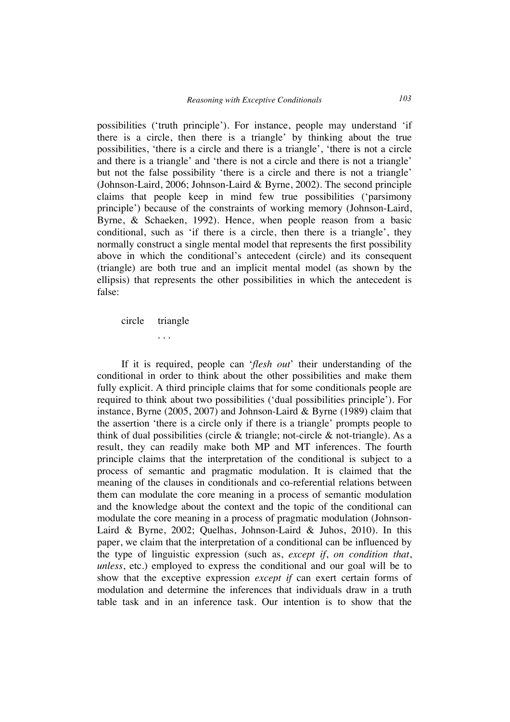possibilities ('truth principle'). For instance, people may understand 'if there is a circle, then there is a triangle' by thinking about the true possibilities, 'there is a circle and there is a triangle', 'there is not a circle and there is a triangle' and 'there is not a circle and there is not a triangle' but not the false possibility 'there is a circle and there is not a triangle' (Johnson-Laird, 2006; Johnson-Laird & Byrne, 2002). The second principle claims that people keep in mind few true possibilities ('parsimony principle') because of the constraints of working memory (Johnson-Laird, Byrne, & Schaeken, 1992). Hence, when people reason from a basic conditional, such as 'if there is a circle, then there is a triangle', they normally construct a single mental model that represents the first possibility above in which the conditional's antecedent (circle) and its consequent (triangle) are both true and an implicit mental model (as shown by the ellipsis) that represents the other possibilities in which the antecedent is false:

circle triangle

. . .

If it is required, people can '*flesh out*' their understanding of the conditional in order to think about the other possibilities and make them fully explicit. A third principle claims that for some conditionals people are required to think about two possibilities ('dual possibilities principle'). For instance, Byrne (2005, 2007) and Johnson-Laird & Byrne (1989) claim that the assertion 'there is a circle only if there is a triangle' prompts people to think of dual possibilities (circle & triangle; not-circle & not-triangle). As a result, they can readily make both MP and MT inferences. The fourth principle claims that the interpretation of the conditional is subject to a process of semantic and pragmatic modulation. It is claimed that the meaning of the clauses in conditionals and co-referential relations between them can modulate the core meaning in a process of semantic modulation and the knowledge about the context and the topic of the conditional can modulate the core meaning in a process of pragmatic modulation (Johnson-Laird & Byrne, 2002; Quelhas, Johnson-Laird & Juhos, 2010). In this paper, we claim that the interpretation of a conditional can be influenced by the type of linguistic expression (such as, *except if*, *on condition that*, *unless*, etc.) employed to express the conditional and our goal will be to show that the exceptive expression *except if* can exert certain forms of modulation and determine the inferences that individuals draw in a truth table task and in an inference task. Our intention is to show that the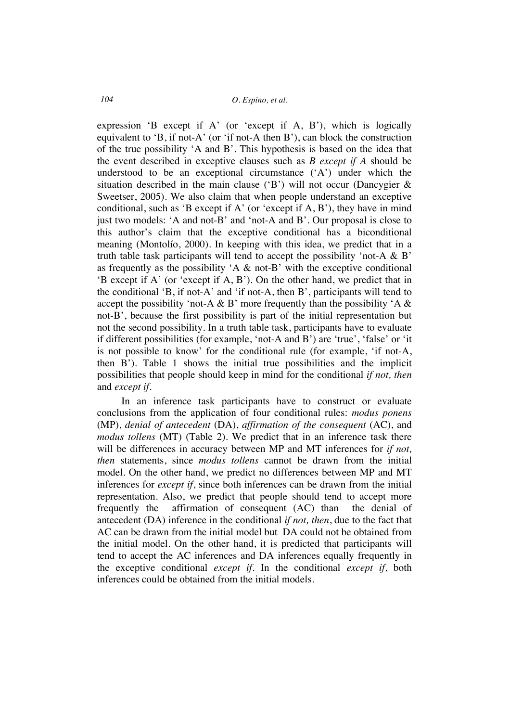expression 'B except if A' (or 'except if A, B'), which is logically equivalent to 'B, if not-A' (or 'if not-A then B'), can block the construction of the true possibility 'A and B'. This hypothesis is based on the idea that the event described in exceptive clauses such as *B except if A* should be understood to be an exceptional circumstance ('A') under which the situation described in the main clause ( $B'$ ) will not occur (Dancygier & Sweetser, 2005). We also claim that when people understand an exceptive conditional, such as 'B except if A' (or 'except if  $A, B'$ ), they have in mind just two models: 'A and not-B' and 'not-A and B'. Our proposal is close to this author's claim that the exceptive conditional has a biconditional meaning (Montolío, 2000). In keeping with this idea, we predict that in a truth table task participants will tend to accept the possibility 'not-A  $\&$  B' as frequently as the possibility 'A & not-B' with the exceptive conditional 'B except if A' (or 'except if A, B'). On the other hand, we predict that in the conditional 'B, if not-A' and 'if not-A, then B', participants will tend to accept the possibility 'not-A & B' more frequently than the possibility 'A  $\&$ not-B', because the first possibility is part of the initial representation but not the second possibility. In a truth table task, participants have to evaluate if different possibilities (for example, 'not-A and B') are 'true', 'false' or 'it is not possible to know' for the conditional rule (for example, 'if not-A, then B'). Table 1 shows the initial true possibilities and the implicit possibilities that people should keep in mind for the conditional *if not, then* and *except if*.

In an inference task participants have to construct or evaluate conclusions from the application of four conditional rules: *modus ponens*  (MP), *denial of antecedent* (DA), *affirmation of the consequent* (AC), and *modus tollens* (MT) (Table 2). We predict that in an inference task there will be differences in accuracy between MP and MT inferences for *if not, then* statements, since *modus tollens* cannot be drawn from the initial model. On the other hand, we predict no differences between MP and MT inferences for *except if*, since both inferences can be drawn from the initial representation. Also, we predict that people should tend to accept more frequently the affirmation of consequent (AC) than the denial of antecedent (DA) inference in the conditional *if not, then*, due to the fact that AC can be drawn from the initial model but DA could not be obtained from the initial model. On the other hand, it is predicted that participants will tend to accept the AC inferences and DA inferences equally frequently in the exceptive conditional *except if*. In the conditional *except if*, both inferences could be obtained from the initial models.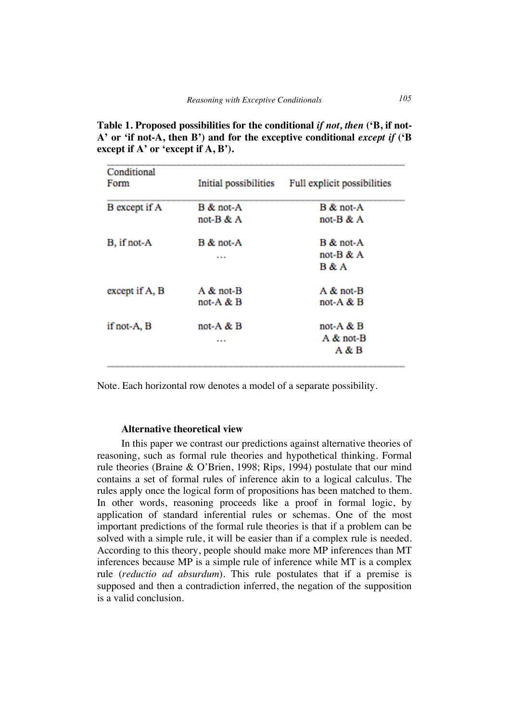| Conditional    |                       |                             |
|----------------|-----------------------|-----------------------------|
| Form           | Initial possibilities | Full explicit possibilities |
| B except if A  | B & not-A             | B & not-A                   |
|                | not-B & A             | not-B & A                   |
| B, if not-A    | B & not-A             | B & not-A                   |
|                |                       | not-B & A                   |
|                |                       | Β&Α                         |
| except if A, B | A & not-B             | A & not-B                   |
|                | not-A $\&$ B          | not-A $\&$ B                |
| if not-A, B    | not-A $\&$ B          | not-A & B                   |
|                |                       | A & not-B                   |
|                |                       | Α&Β                         |

**Table 1. Proposed possibilities for the conditional** *if not, then* **('B, if not-A' or 'if not-A, then B') and for the exceptive conditional** *except if* **('B except if A' or 'except if A, B').**

Note. Each horizontal row denotes a model of a separate possibility.

### **Alternative theoretical view**

In this paper we contrast our predictions against alternative theories of reasoning, such as formal rule theories and hypothetical thinking. Formal rule theories (Braine & O'Brien, 1998; Rips, 1994) postulate that our mind contains a set of formal rules of inference akin to a logical calculus. The rules apply once the logical form of propositions has been matched to them. In other words, reasoning proceeds like a proof in formal logic, by application of standard inferential rules or schemas. One of the most important predictions of the formal rule theories is that if a problem can be solved with a simple rule, it will be easier than if a complex rule is needed. According to this theory, people should make more MP inferences than MT inferences because MP is a simple rule of inference while MT is a complex rule (*reductio ad absurdum*). This rule postulates that if a premise is supposed and then a contradiction inferred, the negation of the supposition is a valid conclusion.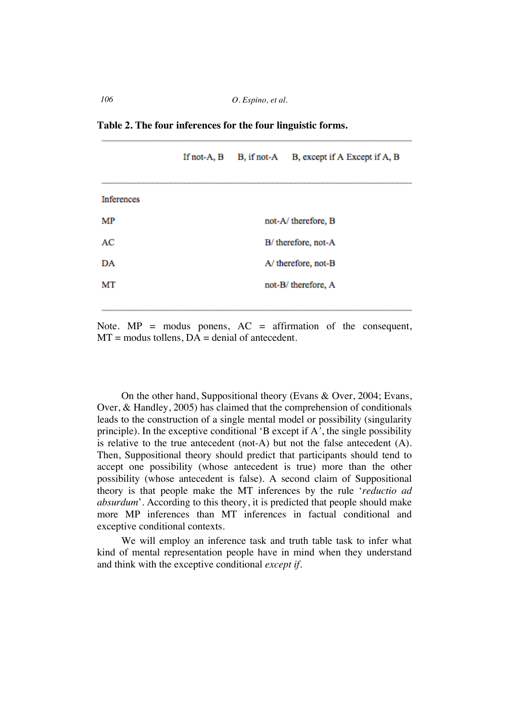**Table 2. The four inferences for the four linguistic forms.** 

|            | If not-A, B         |  | B, if not-A B, except if A Except if A, B |
|------------|---------------------|--|-------------------------------------------|
| Inferences |                     |  |                                           |
| МP         |                     |  | not-A/therefore, B                        |
| AC         | B/ therefore, not-A |  |                                           |
| DA         |                     |  | A/ therefore, not-B                       |
| МT         |                     |  | not-B/therefore, A                        |
|            |                     |  |                                           |

Note.  $MP =$  modus ponens,  $AC =$  affirmation of the consequent,  $MT =$  modus tollens,  $DA =$  denial of antecedent.

On the other hand, Suppositional theory (Evans & Over, 2004; Evans, Over, & Handley, 2005) has claimed that the comprehension of conditionals leads to the construction of a single mental model or possibility (singularity principle). In the exceptive conditional 'B except if A*'*, the single possibility is relative to the true antecedent (not-A) but not the false antecedent (A). Then, Suppositional theory should predict that participants should tend to accept one possibility (whose antecedent is true) more than the other possibility (whose antecedent is false). A second claim of Suppositional theory is that people make the MT inferences by the rule '*reductio ad absurdum*'. According to this theory, it is predicted that people should make more MP inferences than MT inferences in factual conditional and exceptive conditional contexts.

We will employ an inference task and truth table task to infer what kind of mental representation people have in mind when they understand and think with the exceptive conditional *except if.*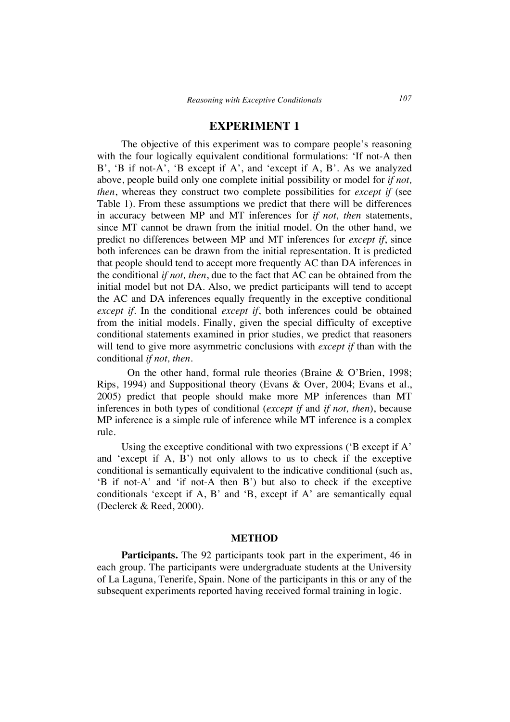## **EXPERIMENT 1**

The objective of this experiment was to compare people's reasoning with the four logically equivalent conditional formulations: 'If not-A then B', 'B if not-A', 'B except if A', and 'except if A, B'. As we analyzed above, people build only one complete initial possibility or model for *if not, then*, whereas they construct two complete possibilities for *except if* (see Table 1). From these assumptions we predict that there will be differences in accuracy between MP and MT inferences for *if not, then* statements, since MT cannot be drawn from the initial model. On the other hand, we predict no differences between MP and MT inferences for *except if*, since both inferences can be drawn from the initial representation. It is predicted that people should tend to accept more frequently AC than DA inferences in the conditional *if not, then*, due to the fact that AC can be obtained from the initial model but not DA. Also, we predict participants will tend to accept the AC and DA inferences equally frequently in the exceptive conditional *except if*. In the conditional *except if*, both inferences could be obtained from the initial models. Finally, given the special difficulty of exceptive conditional statements examined in prior studies, we predict that reasoners will tend to give more asymmetric conclusions with *except if* than with the conditional *if not, then*.

On the other hand, formal rule theories (Braine & O'Brien, 1998; Rips, 1994) and Suppositional theory (Evans & Over, 2004; Evans et al., 2005) predict that people should make more MP inferences than MT inferences in both types of conditional (*except if* and *if not, then*), because MP inference is a simple rule of inference while MT inference is a complex rule.

Using the exceptive conditional with two expressions ('B except if A' and 'except if A, B') not only allows to us to check if the exceptive conditional is semantically equivalent to the indicative conditional (such as, 'B if not-A' and 'if not-A then B') but also to check if the exceptive conditionals 'except if A, B' and 'B, except if A' are semantically equal (Declerck & Reed, 2000).

#### **METHOD**

**Participants.** The 92 participants took part in the experiment, 46 in each group. The participants were undergraduate students at the University of La Laguna, Tenerife, Spain. None of the participants in this or any of the subsequent experiments reported having received formal training in logic.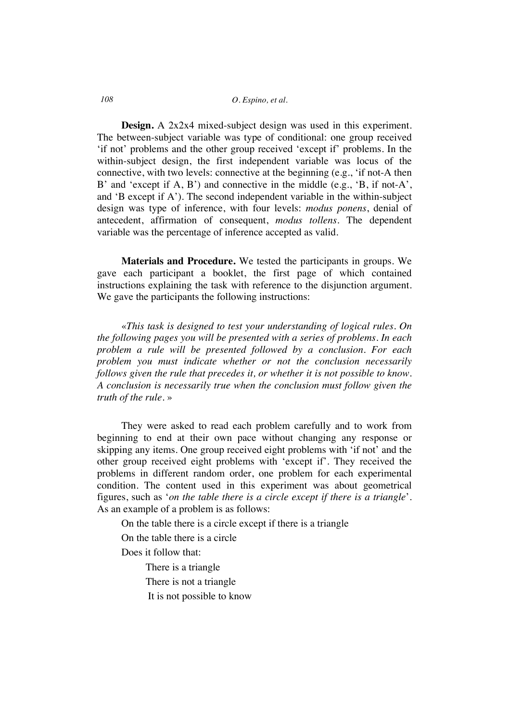### *108 O. Espino, et al.*

**Design.** A 2x2x4 mixed-subject design was used in this experiment. The between-subject variable was type of conditional: one group received 'if not' problems and the other group received 'except if' problems. In the within-subject design, the first independent variable was locus of the connective, with two levels: connective at the beginning (e.g., 'if not-A then B' and 'except if A, B') and connective in the middle (e.g., 'B, if not-A', and 'B except if A'). The second independent variable in the within-subject design was type of inference, with four levels: *modus ponens*, denial of antecedent, affirmation of consequent, *modus tollens*. The dependent variable was the percentage of inference accepted as valid.

**Materials and Procedure.** We tested the participants in groups. We gave each participant a booklet, the first page of which contained instructions explaining the task with reference to the disjunction argument. We gave the participants the following instructions:

«*This task is designed to test your understanding of logical rules. On the following pages you will be presented with a series of problems. In each problem a rule will be presented followed by a conclusion. For each problem you must indicate whether or not the conclusion necessarily follows given the rule that precedes it, or whether it is not possible to know. A conclusion is necessarily true when the conclusion must follow given the truth of the rule.* »

They were asked to read each problem carefully and to work from beginning to end at their own pace without changing any response or skipping any items. One group received eight problems with 'if not' and the other group received eight problems with 'except if'. They received the problems in different random order, one problem for each experimental condition. The content used in this experiment was about geometrical figures, such as '*on the table there is a circle except if there is a triangle*'. As an example of a problem is as follows:

On the table there is a circle except if there is a triangle

On the table there is a circle

Does it follow that:

There is a triangle

There is not a triangle

It is not possible to know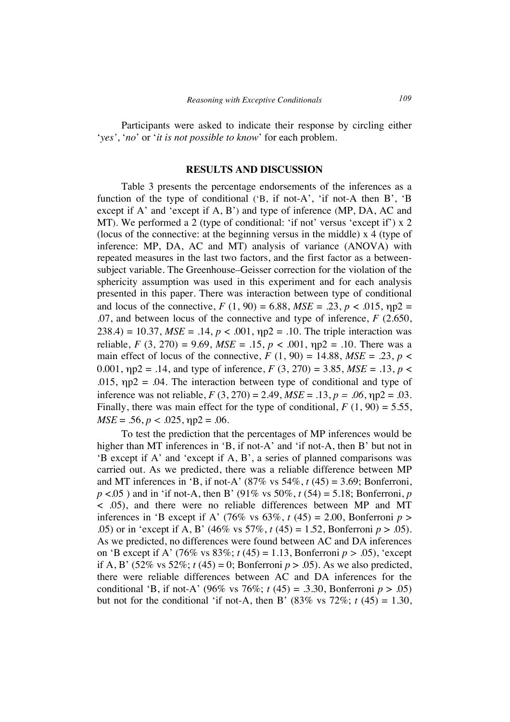Participants were asked to indicate their response by circling either '*yes'*, '*no*' or '*it is not possible to know*' for each problem.

#### **RESULTS AND DISCUSSION**

Table 3 presents the percentage endorsements of the inferences as a function of the type of conditional ('B, if not-A', 'if not-A then B', 'B except if A' and 'except if A, B') and type of inference (MP, DA, AC and MT). We performed a 2 (type of conditional: 'if not' versus 'except if') x 2 (locus of the connective: at the beginning versus in the middle) x 4 (type of inference: MP, DA, AC and MT) analysis of variance (ANOVA) with repeated measures in the last two factors, and the first factor as a betweensubject variable. The Greenhouse–Geisser correction for the violation of the sphericity assumption was used in this experiment and for each analysis presented in this paper. There was interaction between type of conditional and locus of the connective,  $F(1, 90) = 6.88$ ,  $MSE = .23$ ,  $p < .015$ ,  $np2 =$ .07, and between locus of the connective and type of inference, *F* (2.650, 238.4) = 10.37,  $MSE = .14$ ,  $p < .001$ ,  $np2 = .10$ . The triple interaction was reliable, *F* (3, 270) = 9.69, *MSE* = .15, *p* < .001,  $np2 = 0.10$ . There was a main effect of locus of the connective,  $F(1, 90) = 14.88$ ,  $MSE = .23$ ,  $p <$ 0.001,  $np2 = .14$ , and type of inference,  $F(3, 270) = 3.85$ ,  $MSE = .13$ ,  $p <$ .015,  $np2 = .04$ . The interaction between type of conditional and type of inference was not reliable,  $F(3, 270) = 2.49$ ,  $MSE = .13$ ,  $p = .06$ ,  $np2 = .03$ . Finally, there was main effect for the type of conditional,  $F(1, 90) = 5.55$ ,  $MSE = .56$ ,  $p < .025$ ,  $np2 = .06$ .

To test the prediction that the percentages of MP inferences would be higher than MT inferences in 'B, if not-A' and 'if not-A, then B' but not in 'B except if A' and 'except if A, B', a series of planned comparisons was carried out. As we predicted, there was a reliable difference between MP and MT inferences in 'B, if not-A' (87% vs 54%, *t* (45) = 3.69; Bonferroni, *p* <.05 ) and in 'if not-A, then B' (91% vs 50%, *t* (54) = 5.18; Bonferroni, *p* < .05), and there were no reliable differences between MP and MT inferences in 'B except if A' (76% vs  $63\%$ ,  $t(45) = 2.00$ , Bonferroni  $p >$ .05) or in 'except if A, B' (46% vs 57%, *t* (45) = 1.52, Bonferroni *p* > .05). As we predicted, no differences were found between AC and DA inferences on 'B except if A' (76% vs 83%; *t* (45) = 1.13, Bonferroni *p >* .05), 'except if A, B' (52% vs 52%;  $t$  (45) = 0; Bonferroni  $p > .05$ ). As we also predicted, there were reliable differences between AC and DA inferences for the conditional 'B, if not-A' (96% vs 76%; *t* (45) = .3.30, Bonferroni  $p > .05$ ) but not for the conditional 'if not-A, then B'  $(83\% \text{ vs } 72\%; t \cdot (45) = 1.30)$ ,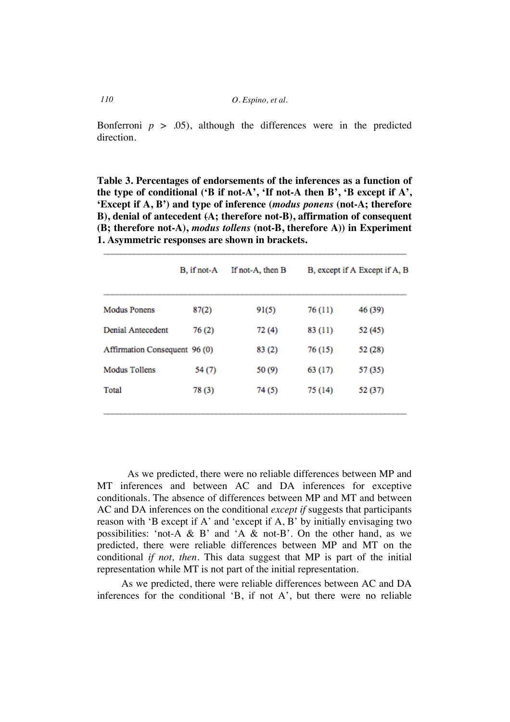Bonferroni  $p > .05$ , although the differences were in the predicted direction.

**Table 3. Percentages of endorsements of the inferences as a function of the type of conditional ('B if not-A', 'If not-A then B', 'B except if A', 'Except if A, B') and type of inference (***modus ponens* **(not-A; therefore B), denial of antecedent (A; therefore not-B), affirmation of consequent (B; therefore not-A),** *modus tollens* **(not-B, therefore A)) in Experiment 1. Asymmetric responses are shown in brackets.**

|                               | B, if not-A | If not-A, then B |         | B, except if A Except if A, B |
|-------------------------------|-------------|------------------|---------|-------------------------------|
| <b>Modus Ponens</b>           | 87(2)       | 91(5)            | 76 (11) | 46 (39)                       |
| Denial Antecedent             | 76(2)       | 72(4)            | 83 (11) | 52 (45)                       |
| Affirmation Consequent 96 (0) |             | 83 (2)           | 76 (15) | 52 (28)                       |
| <b>Modus Tollens</b>          | 54 (7)      | 50(9)            | 63 (17) | 57 (35)                       |
| Total                         | 78(3)       | 74 (5)           | 75 (14) | 52 (37)                       |
|                               |             |                  |         |                               |

As we predicted, there were no reliable differences between MP and MT inferences and between AC and DA inferences for exceptive conditionals. The absence of differences between MP and MT and between AC and DA inferences on the conditional *except if* suggests that participants reason with 'B except if A' and 'except if A, B' by initially envisaging two possibilities: 'not-A & B' and 'A & not-B'. On the other hand, as we predicted, there were reliable differences between MP and MT on the conditional *if not, then*. This data suggest that MP is part of the initial representation while MT is not part of the initial representation.

As we predicted, there were reliable differences between AC and DA inferences for the conditional 'B, if not A', but there were no reliable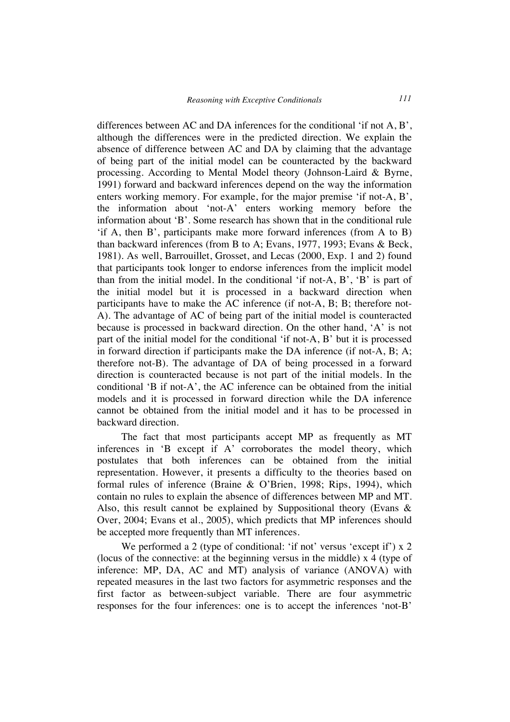differences between AC and DA inferences for the conditional 'if not A, B', although the differences were in the predicted direction. We explain the absence of difference between AC and DA by claiming that the advantage of being part of the initial model can be counteracted by the backward processing. According to Mental Model theory (Johnson-Laird & Byrne, 1991) forward and backward inferences depend on the way the information enters working memory. For example, for the major premise 'if not-A, B', the information about 'not-A' enters working memory before the information about 'B'. Some research has shown that in the conditional rule 'if A, then B', participants make more forward inferences (from A to B) than backward inferences (from B to A; Evans, 1977, 1993; Evans & Beck, 1981). As well, Barrouillet, Grosset, and Lecas (2000, Exp. 1 and 2) found that participants took longer to endorse inferences from the implicit model than from the initial model. In the conditional 'if not-A, B', 'B' is part of the initial model but it is processed in a backward direction when participants have to make the AC inference (if not-A, B; B; therefore not-A). The advantage of AC of being part of the initial model is counteracted because is processed in backward direction. On the other hand, 'A' is not part of the initial model for the conditional 'if not-A, B' but it is processed in forward direction if participants make the DA inference (if not-A, B; A; therefore not-B). The advantage of DA of being processed in a forward direction is counteracted because is not part of the initial models. In the conditional 'B if not-A', the AC inference can be obtained from the initial models and it is processed in forward direction while the DA inference cannot be obtained from the initial model and it has to be processed in backward direction.

The fact that most participants accept MP as frequently as MT inferences in 'B except if A' corroborates the model theory, which postulates that both inferences can be obtained from the initial representation. However, it presents a difficulty to the theories based on formal rules of inference (Braine & O'Brien, 1998; Rips, 1994), which contain no rules to explain the absence of differences between MP and MT. Also, this result cannot be explained by Suppositional theory (Evans  $\&$ Over, 2004; Evans et al., 2005), which predicts that MP inferences should be accepted more frequently than MT inferences.

We performed a 2 (type of conditional: 'if not' versus 'except if') x 2 (locus of the connective: at the beginning versus in the middle) x 4 (type of inference: MP, DA, AC and MT) analysis of variance (ANOVA) with repeated measures in the last two factors for asymmetric responses and the first factor as between-subject variable. There are four asymmetric responses for the four inferences: one is to accept the inferences 'not-B'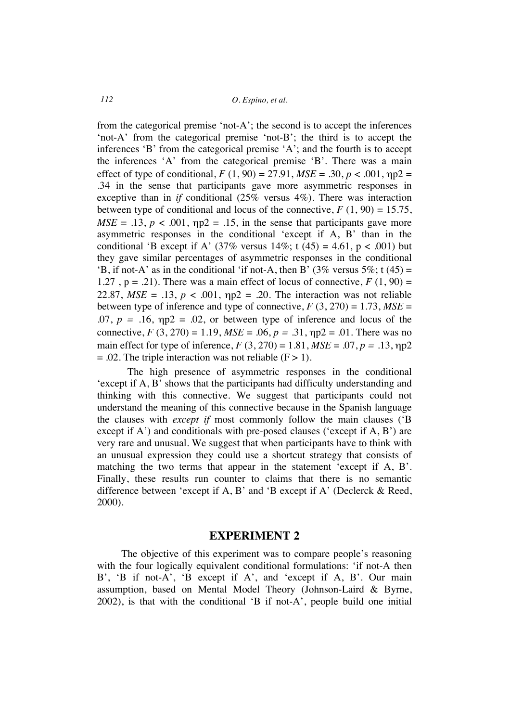from the categorical premise 'not-A'; the second is to accept the inferences 'not-A' from the categorical premise 'not-B'; the third is to accept the inferences 'B' from the categorical premise 'A'; and the fourth is to accept the inferences 'A' from the categorical premise 'B'. There was a main effect of type of conditional,  $F(1, 90) = 27.91$ ,  $MSE = .30$ ,  $p < .001$ ,  $np2 =$ .34 in the sense that participants gave more asymmetric responses in exceptive than in *if* conditional (25% versus 4%). There was interaction between type of conditional and locus of the connective,  $F(1, 90) = 15.75$ ,  $MSE = .13$ ,  $p < .001$ ,  $np2 = .15$ , in the sense that participants gave more asymmetric responses in the conditional 'except if A, B' than in the conditional 'B except if A'  $(37\%$  versus  $14\%;$  t  $(45) = 4.61$ , p < .001) but they gave similar percentages of asymmetric responses in the conditional 'B, if not-A' as in the conditional 'if not-A, then B' (3% versus 5%; t (45) = 1.27,  $p = .21$ ). There was a main effect of locus of connective,  $F(1, 90) =$ 22.87,  $MSE = .13$ ,  $p < .001$ ,  $np2 = .20$ . The interaction was not reliable between type of inference and type of connective,  $F(3, 270) = 1.73$ ,  $MSE =$ .07,  $p = .16$ ,  $np2 = .02$ , or between type of inference and locus of the connective,  $F(3, 270) = 1.19$ ,  $MSE = .06$ ,  $p = .31$ ,  $np2 = .01$ . There was no main effect for type of inference,  $F(3, 270) = 1.81$ ,  $MSE = .07$ ,  $p = .13$ ,  $np2$  $= .02$ . The triple interaction was not reliable (F  $> 1$ ).

The high presence of asymmetric responses in the conditional 'except if A, B' shows that the participants had difficulty understanding and thinking with this connective. We suggest that participants could not understand the meaning of this connective because in the Spanish language the clauses with *except if* most commonly follow the main clauses ('B except if A') and conditionals with pre-posed clauses ('except if A, B') are very rare and unusual. We suggest that when participants have to think with an unusual expression they could use a shortcut strategy that consists of matching the two terms that appear in the statement 'except if A, B'. Finally, these results run counter to claims that there is no semantic difference between 'except if A, B' and 'B except if A' (Declerck & Reed, 2000).

### **EXPERIMENT 2**

The objective of this experiment was to compare people's reasoning with the four logically equivalent conditional formulations: 'if not-A then B', 'B if not-A', 'B except if A', and 'except if A, B'. Our main assumption, based on Mental Model Theory (Johnson-Laird & Byrne, 2002), is that with the conditional 'B if not-A', people build one initial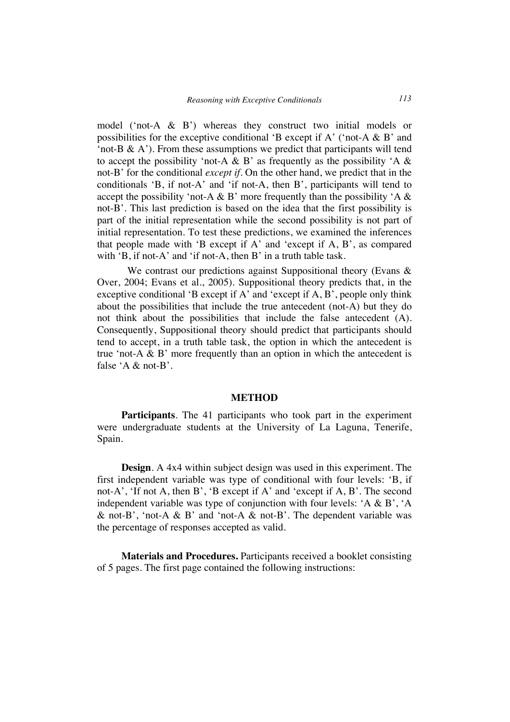model ('not-A & B') whereas they construct two initial models or possibilities for the exceptive conditional 'B except if A' ('not-A  $\&$  B' and 'not-B  $\&$  A'). From these assumptions we predict that participants will tend to accept the possibility 'not-A & B' as frequently as the possibility 'A  $\&$ not-B' for the conditional *except if*. On the other hand, we predict that in the conditionals 'B, if not-A' and 'if not-A, then B', participants will tend to accept the possibility 'not-A & B' more frequently than the possibility 'A  $\&$ not-B'. This last prediction is based on the idea that the first possibility is part of the initial representation while the second possibility is not part of initial representation. To test these predictions, we examined the inferences that people made with 'B except if A' and 'except if A, B', as compared with 'B, if not-A' and 'if not-A, then B' in a truth table task.

We contrast our predictions against Suppositional theory (Evans & Over, 2004; Evans et al., 2005). Suppositional theory predicts that, in the exceptive conditional 'B except if A' and 'except if A, B', people only think about the possibilities that include the true antecedent (not-A) but they do not think about the possibilities that include the false antecedent (A). Consequently, Suppositional theory should predict that participants should tend to accept, in a truth table task, the option in which the antecedent is true 'not-A  $\&$  B' more frequently than an option in which the antecedent is false 'A & not-B'.

#### **METHOD**

**Participants***.* The 41 participants who took part in the experiment were undergraduate students at the University of La Laguna, Tenerife, Spain.

**Design***.* A 4x4 within subject design was used in this experiment. The first independent variable was type of conditional with four levels: 'B, if not-A', 'If not A, then B', 'B except if A' and 'except if A, B'. The second independent variable was type of conjunction with four levels: 'A & B', 'A & not-B', 'not-A & B' and 'not-A & not-B'. The dependent variable was the percentage of responses accepted as valid.

**Materials and Procedures.** Participants received a booklet consisting of 5 pages. The first page contained the following instructions: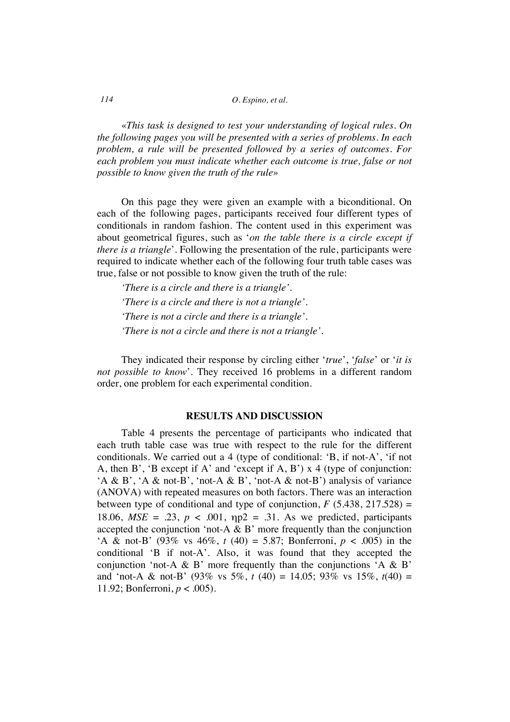*114 O. Espino, et al.*

«*This task is designed to test your understanding of logical rules. On the following pages you will be presented with a series of problems. In each problem, a rule will be presented followed by a series of outcomes. For each problem you must indicate whether each outcome is true, false or not possible to know given the truth of the rule*»

On this page they were given an example with a biconditional. On each of the following pages, participants received four different types of conditionals in random fashion. The content used in this experiment was about geometrical figures, such as '*on the table there is a circle except if there is a triangle*'. Following the presentation of the rule, participants were required to indicate whether each of the following four truth table cases was true, false or not possible to know given the truth of the rule:

*'There is a circle and there is a triangle'. 'There is a circle and there is not a triangle'. 'There is not a circle and there is a triangle'. 'There is not a circle and there is not a triangle'.* 

They indicated their response by circling either '*true*', '*false*' or '*it is not possible to know*'. They received 16 problems in a different random order, one problem for each experimental condition.

### **RESULTS AND DISCUSSION**

Table 4 presents the percentage of participants who indicated that each truth table case was true with respect to the rule for the different conditionals. We carried out a 4 (type of conditional: 'B, if not-A', 'if not A, then B', 'B except if A' and 'except if A, B')  $x$  4 (type of conjunction: 'A & B', 'A & not-B', 'not-A & B', 'not-A & not-B') analysis of variance (ANOVA) with repeated measures on both factors. There was an interaction between type of conditional and type of conjunction,  $F$  (5.438, 217.528) = 18.06,  $MSE = .23$ ,  $p < .001$ ,  $\eta p2 = .31$ . As we predicted, participants accepted the conjunction 'not-A  $\&$  B' more frequently than the conjunction 'A & not-B' (93% vs  $46\%, t(40) = 5.87$ ; Bonferroni,  $p < .005$ ) in the conditional 'B if not-A'. Also, it was found that they accepted the conjunction 'not-A & B' more frequently than the conjunctions  $A \& B'$ and 'not-A & not-B' (93% vs 5%,  $t$  (40) = 14.05; 93% vs 15%,  $t(40)$  = 11.92; Bonferroni,  $p < .005$ ).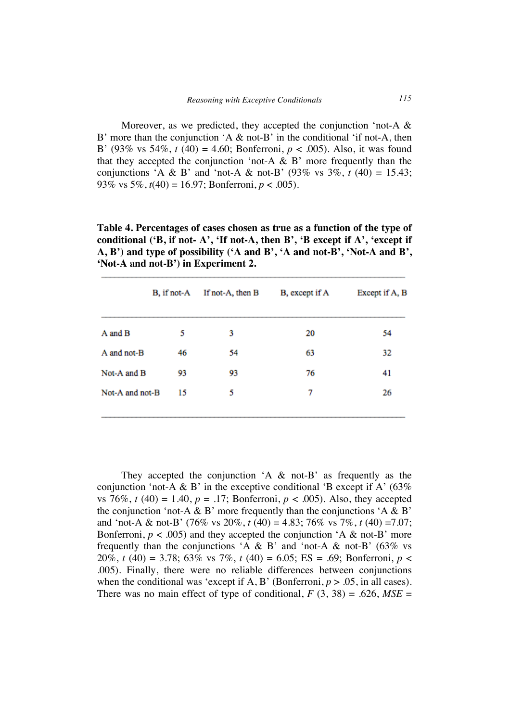Moreover, as we predicted, they accepted the conjunction 'not-A & B' more than the conjunction 'A  $\&$  not-B' in the conditional 'if not-A, then B' (93% vs 54%, *t* (40) = 4.60; Bonferroni, *p* < .005). Also, it was found that they accepted the conjunction 'not-A  $\&$  B' more frequently than the conjunctions 'A & B' and 'not-A & not-B'  $(93\% \text{ vs } 3\%, t \cdot (40) = 15.43;$ 93% vs  $5\%$ ,  $t(40) = 16.97$ ; Bonferroni,  $p < .005$ ).

**Table 4. Percentages of cases chosen as true as a function of the type of conditional ('B, if not- A', 'If not-A, then B', 'B except if A', 'except if A, B') and type of possibility ('A and B', 'A and not-B', 'Not-A and B', 'Not-A and not-B') in Experiment 2.**

|                 | B, if not-A | If not-A, then B | B, except if A | Except if A, B |
|-----------------|-------------|------------------|----------------|----------------|
| A and B         | 5           | 3                | 20             | 54             |
| A and not-B     | 46          | 54               | 63             | 32             |
| Not-A and B     | 93          | 93               | 76             | 41             |
| Not-A and not-B | 15          | 5                | 7              | 26             |

They accepted the conjunction  $A \& \text{not-B}'$  as frequently as the conjunction 'not-A & B' in the exceptive conditional 'B except if A'  $(63\%$ vs 76%,  $t(40) = 1.40$ ,  $p = .17$ ; Bonferroni,  $p < .005$ ). Also, they accepted the conjunction 'not-A & B' more frequently than the conjunctions 'A & B' and 'not-A & not-B' (76% vs 20%, *t* (40) = 4.83; 76% vs 7%, *t* (40) =7.07; Bonferroni,  $p < .005$ ) and they accepted the conjunction 'A & not-B' more frequently than the conjunctions 'A & B' and 'not-A & not-B' ( $63\%$  vs 20%, *t* (40) = 3.78; 63% vs 7%, *t* (40) = 6.05; ES = .69; Bonferroni, *p* < .005). Finally, there were no reliable differences between conjunctions when the conditional was 'except if A, B' (Bonferroni,  $p > .05$ , in all cases). There was no main effect of type of conditional,  $F(3, 38) = .626$ ,  $MSE =$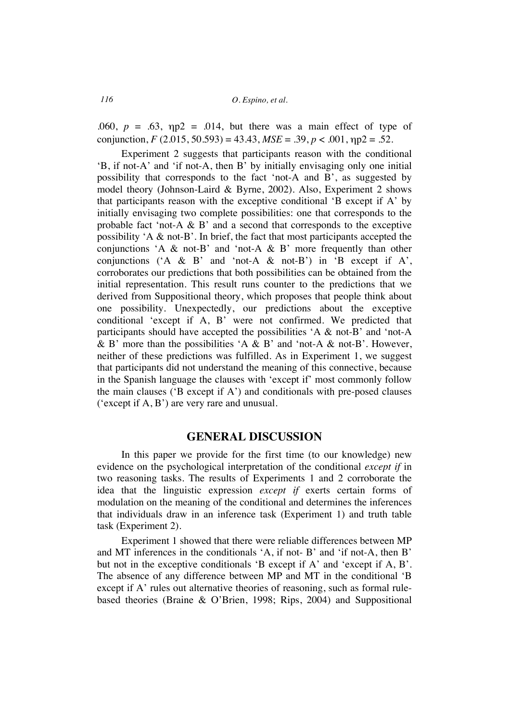*116 O. Espino, et al.*

.060,  $p = .63$ ,  $np2 = .014$ , but there was a main effect of type of conjunction,  $F(2.015, 50.593) = 43.43$ ,  $MSE = .39$ ,  $p < .001$ ,  $np2 = .52$ .

Experiment 2 suggests that participants reason with the conditional 'B, if not-A' and 'if not-A, then B' by initially envisaging only one initial possibility that corresponds to the fact 'not-A and B', as suggested by model theory (Johnson-Laird & Byrne, 2002). Also, Experiment 2 shows that participants reason with the exceptive conditional  $B$  except if A' by initially envisaging two complete possibilities: one that corresponds to the probable fact 'not-A & B' and a second that corresponds to the exceptive possibility 'A & not-B'. In brief, the fact that most participants accepted the conjunctions 'A & not-B' and 'not-A & B' more frequently than other conjunctions ('A & B' and 'not-A & not-B') in 'B except if A', corroborates our predictions that both possibilities can be obtained from the initial representation. This result runs counter to the predictions that we derived from Suppositional theory, which proposes that people think about one possibility. Unexpectedly, our predictions about the exceptive conditional 'except if A, B' were not confirmed. We predicted that participants should have accepted the possibilities 'A & not-B' and 'not-A & B' more than the possibilities  $A \& B'$  and 'not-A & not-B'. However, neither of these predictions was fulfilled. As in Experiment 1, we suggest that participants did not understand the meaning of this connective, because in the Spanish language the clauses with 'except if' most commonly follow the main clauses ( $B$  except if A $'$ ) and conditionals with pre-posed clauses ('except if A, B') are very rare and unusual.

## **GENERAL DISCUSSION**

In this paper we provide for the first time (to our knowledge) new evidence on the psychological interpretation of the conditional *except if* in two reasoning tasks. The results of Experiments 1 and 2 corroborate the idea that the linguistic expression *except if* exerts certain forms of modulation on the meaning of the conditional and determines the inferences that individuals draw in an inference task (Experiment 1) and truth table task (Experiment 2).

Experiment 1 showed that there were reliable differences between MP and MT inferences in the conditionals 'A, if not- B' and 'if not-A, then B' but not in the exceptive conditionals 'B except if A' and 'except if A, B'. The absence of any difference between MP and MT in the conditional 'B except if A' rules out alternative theories of reasoning, such as formal rulebased theories (Braine & O'Brien, 1998; Rips, 2004) and Suppositional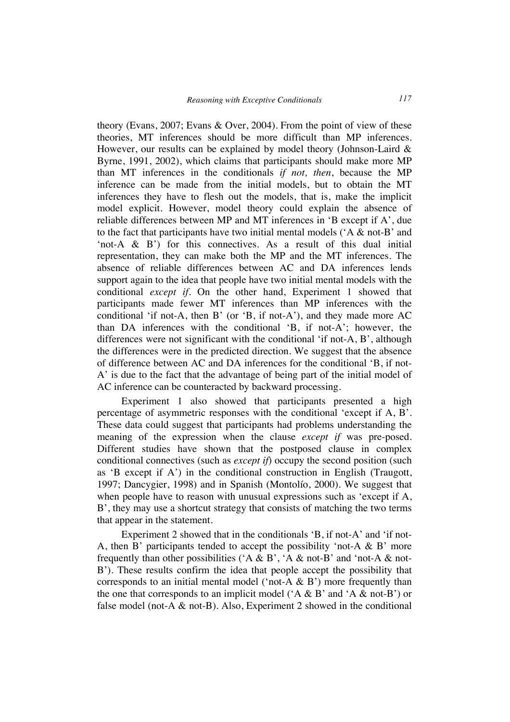theory (Evans, 2007; Evans & Over, 2004). From the point of view of these theories, MT inferences should be more difficult than MP inferences. However, our results can be explained by model theory (Johnson-Laird & Byrne, 1991, 2002), which claims that participants should make more MP than MT inferences in the conditionals *if not, then*, because the MP inference can be made from the initial models, but to obtain the MT inferences they have to flesh out the models, that is, make the implicit model explicit. However, model theory could explain the absence of reliable differences between MP and MT inferences in 'B except if A', due to the fact that participants have two initial mental models ('A & not-B' and 'not-A & B') for this connectives. As a result of this dual initial representation, they can make both the MP and the MT inferences. The absence of reliable differences between AC and DA inferences lends support again to the idea that people have two initial mental models with the conditional *except if*. On the other hand, Experiment 1 showed that participants made fewer MT inferences than MP inferences with the conditional 'if not-A, then B' (or 'B, if not-A'), and they made more AC than DA inferences with the conditional 'B, if not-A'; however, the differences were not significant with the conditional 'if not-A, B', although the differences were in the predicted direction. We suggest that the absence of difference between AC and DA inferences for the conditional 'B, if not-A' is due to the fact that the advantage of being part of the initial model of AC inference can be counteracted by backward processing.

Experiment 1 also showed that participants presented a high percentage of asymmetric responses with the conditional 'except if A, B'. These data could suggest that participants had problems understanding the meaning of the expression when the clause *except if* was pre-posed. Different studies have shown that the postposed clause in complex conditional connectives (such as *except if*) occupy the second position (such as 'B except if A') in the conditional construction in English (Traugott, 1997; Dancygier, 1998) and in Spanish (Montolío, 2000). We suggest that when people have to reason with unusual expressions such as 'except if A, B', they may use a shortcut strategy that consists of matching the two terms that appear in the statement.

Experiment 2 showed that in the conditionals 'B, if not-A' and 'if not-A, then B' participants tended to accept the possibility 'not-A  $\&$  B' more frequently than other possibilities ( $A \& B$ ,  $A \& not-B$  and 'not-A  $\&$  not-B'). These results confirm the idea that people accept the possibility that corresponds to an initial mental model ('not-A  $\&$  B') more frequently than the one that corresponds to an implicit model ( $A \& B'$  and  $A \& \text{not-}B'$ ) or false model (not-A  $\&$  not-B). Also, Experiment 2 showed in the conditional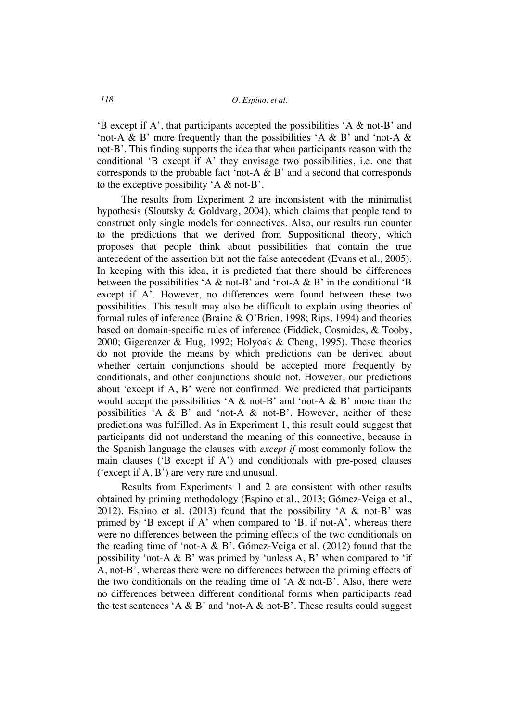'B except if A', that participants accepted the possibilities 'A & not-B' and 'not-A & B' more frequently than the possibilities 'A & B' and 'not-A & not-B'. This finding supports the idea that when participants reason with the conditional 'B except if A' they envisage two possibilities, i.e. one that corresponds to the probable fact 'not-A & B' and a second that corresponds to the exceptive possibility 'A & not-B'.

The results from Experiment 2 are inconsistent with the minimalist hypothesis (Sloutsky & Goldvarg, 2004), which claims that people tend to construct only single models for connectives. Also, our results run counter to the predictions that we derived from Suppositional theory, which proposes that people think about possibilities that contain the true antecedent of the assertion but not the false antecedent (Evans et al., 2005). In keeping with this idea, it is predicted that there should be differences between the possibilities 'A  $\&$  not-B' and 'not-A  $\&$  B' in the conditional 'B except if A'. However, no differences were found between these two possibilities. This result may also be difficult to explain using theories of formal rules of inference (Braine & O'Brien, 1998; Rips, 1994) and theories based on domain-specific rules of inference (Fiddick, Cosmides, & Tooby, 2000; Gigerenzer & Hug, 1992; Holyoak & Cheng, 1995). These theories do not provide the means by which predictions can be derived about whether certain conjunctions should be accepted more frequently by conditionals, and other conjunctions should not. However, our predictions about 'except if A, B' were not confirmed. We predicted that participants would accept the possibilities  $A \& not-B'$  and 'not-A  $\& B'$  more than the possibilities 'A & B' and 'not-A & not-B'. However, neither of these predictions was fulfilled. As in Experiment 1, this result could suggest that participants did not understand the meaning of this connective, because in the Spanish language the clauses with *except if* most commonly follow the main clauses ('B except if A') and conditionals with pre-posed clauses ('except if A, B') are very rare and unusual.

Results from Experiments 1 and 2 are consistent with other results obtained by priming methodology (Espino et al., 2013; Gómez-Veiga et al., 2012). Espino et al. (2013) found that the possibility 'A & not-B' was primed by 'B except if A' when compared to 'B, if not-A', whereas there were no differences between the priming effects of the two conditionals on the reading time of 'not-A & B'. Gómez-Veiga et al. (2012) found that the possibility 'not-A & B' was primed by 'unless A, B' when compared to 'if A, not-B', whereas there were no differences between the priming effects of the two conditionals on the reading time of  $A \& not-B$ . Also, there were no differences between different conditional forms when participants read the test sentences 'A & B' and 'not-A & not-B'. These results could suggest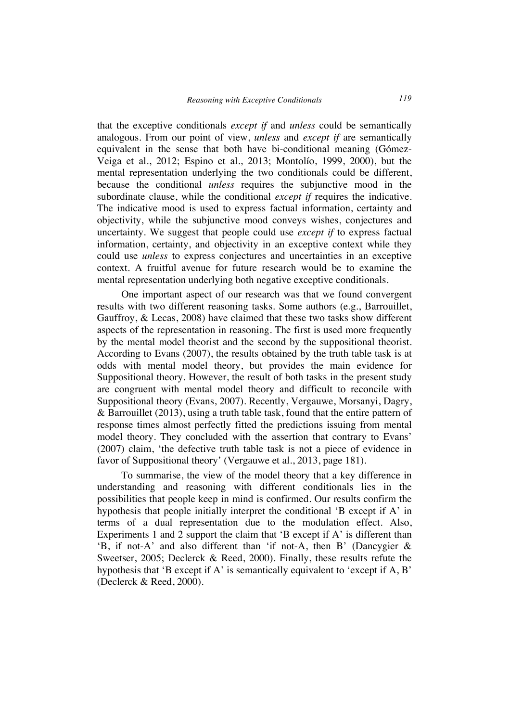that the exceptive conditionals *except if* and *unless* could be semantically analogous. From our point of view, *unless* and *except if* are semantically equivalent in the sense that both have bi-conditional meaning (Gómez-Veiga et al., 2012; Espino et al., 2013; Montolío, 1999, 2000), but the mental representation underlying the two conditionals could be different, because the conditional *unless* requires the subjunctive mood in the subordinate clause, while the conditional *except if* requires the indicative. The indicative mood is used to express factual information, certainty and objectivity, while the subjunctive mood conveys wishes, conjectures and uncertainty. We suggest that people could use *except if* to express factual information, certainty, and objectivity in an exceptive context while they could use *unless* to express conjectures and uncertainties in an exceptive context. A fruitful avenue for future research would be to examine the mental representation underlying both negative exceptive conditionals.

One important aspect of our research was that we found convergent results with two different reasoning tasks. Some authors (e.g., Barrouillet, Gauffroy, & Lecas, 2008) have claimed that these two tasks show different aspects of the representation in reasoning. The first is used more frequently by the mental model theorist and the second by the suppositional theorist. According to Evans (2007), the results obtained by the truth table task is at odds with mental model theory, but provides the main evidence for Suppositional theory. However, the result of both tasks in the present study are congruent with mental model theory and difficult to reconcile with Suppositional theory (Evans, 2007). Recently, Vergauwe, Morsanyi, Dagry, & Barrouillet (2013), using a truth table task, found that the entire pattern of response times almost perfectly fitted the predictions issuing from mental model theory. They concluded with the assertion that contrary to Evans' (2007) claim, 'the defective truth table task is not a piece of evidence in favor of Suppositional theory' (Vergauwe et al., 2013, page 181).

To summarise, the view of the model theory that a key difference in understanding and reasoning with different conditionals lies in the possibilities that people keep in mind is confirmed. Our results confirm the hypothesis that people initially interpret the conditional 'B except if A' in terms of a dual representation due to the modulation effect. Also, Experiments 1 and 2 support the claim that 'B except if A' is different than 'B, if not-A' and also different than 'if not-A, then B' (Dancygier & Sweetser, 2005; Declerck & Reed, 2000). Finally, these results refute the hypothesis that 'B except if A' is semantically equivalent to 'except if A, B' (Declerck & Reed, 2000).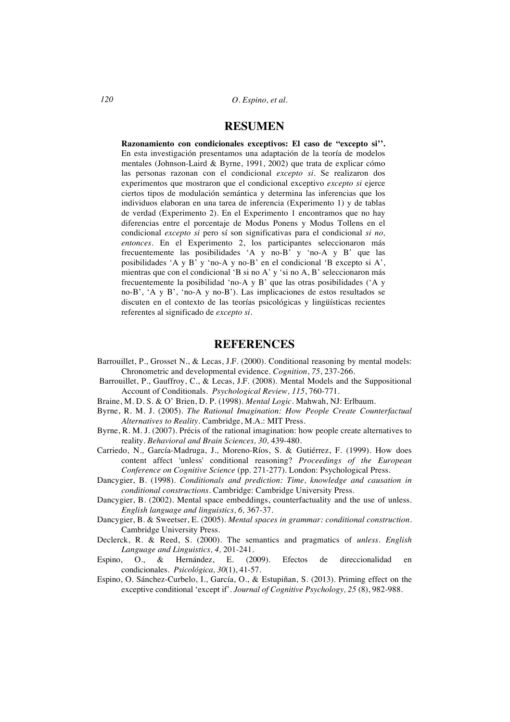### **RESUMEN**

**Razonamiento con condicionales exceptivos: El caso de "excepto si''.** En esta investigación presentamos una adaptación de la teoría de modelos mentales (Johnson-Laird & Byrne, 1991, 2002) que trata de explicar cómo las personas razonan con el condicional *excepto si*. Se realizaron dos experimentos que mostraron que el condicional exceptivo *excepto si* ejerce ciertos tipos de modulación semántica y determina las inferencias que los individuos elaboran en una tarea de inferencia (Experimento 1) y de tablas de verdad (Experimento 2). En el Experimento 1 encontramos que no hay diferencias entre el porcentaje de Modus Ponens y Modus Tollens en el condicional *excepto si* pero sí son significativas para el condicional *si no, entonces*. En el Experimento 2, los participantes seleccionaron más frecuentemente las posibilidades 'A y no-B' y 'no-A y B' que las posibilidades 'A y B' y 'no-A y no-B' en el condicional 'B excepto si A', mientras que con el condicional 'B si no A' y 'si no A, B' seleccionaron más frecuentemente la posibilidad 'no-A y B' que las otras posibilidades ('A y no-B', 'A y B', 'no-A y no-B'). Las implicaciones de estos resultados se discuten en el contexto de las teorías psicológicas y lingüísticas recientes referentes al significado de *excepto si*.

### **REFERENCES**

- Barrouillet, P., Grosset N., & Lecas, J.F. (2000). Conditional reasoning by mental models: Chronometric and developmental evidence. *Cognition*, *75*, 237-266.
- Barrouillet, P., Gauffroy, C., & Lecas, J.F. (2008). Mental Models and the Suppositional Account of Conditionals. *Psychological Review, 115*, 760-771.
- Braine, M. D. S. & O' Brien, D. P. (1998). *Mental Logic*. Mahwah, NJ: Erlbaum.
- Byrne, R. M. J. (2005). *The Rational Imagination: How People Create Counterfactual Alternatives to Reality.* Cambridge, M.A.: MIT Press.
- Byrne, R. M. J. (2007). Précis of the rational imagination: how people create alternatives to reality. *Behavioral and Brain Sciences, 30,* 439-480.
- Carriedo, N., García-Madruga, J., Moreno-Ríos, S. & Gutiérrez, F. (1999). How does content affect 'unless' conditional reasoning? *Proceedings of the European Conference on Cognitive Science* (pp. 271-277). London: Psychological Press.
- Dancygier, B. (1998). *Conditionals and prediction: Time, knowledge and causation in conditional constructions*. Cambridge: Cambridge University Press.
- Dancygier, B. (2002). Mental space embeddings, counterfactuality and the use of unless. *English language and linguistics, 6,* 367-37.
- Dancygier, B. & Sweetser, E. (2005). *Mental spaces in grammar: conditional construction*. Cambridge University Press.
- Declerck, R. & Reed, S. (2000). The semantics and pragmatics of *unless*. *English Language and Linguistics, 4,* 201-241.
- Espino, O., & Hernández, E. (2009). Efectos de direccionalidad en condicionales. *Psicológica, 30*(1), 41-57.
- Espino, O. Sánchez-Curbelo, I., García, O., & Estupiñan, S. (2013). Priming effect on the exceptive conditional 'except if'. *Journal of Cognitive Psychology, 25* (8), 982-988.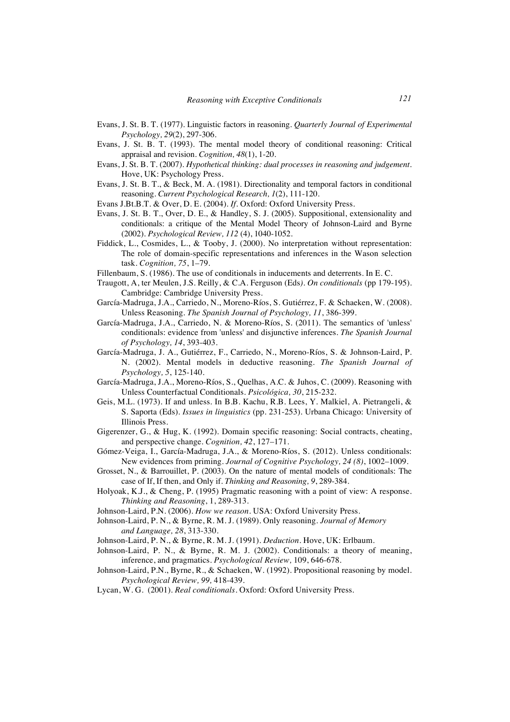- Evans, J. St. B. T. (1977). Linguistic factors in reasoning. *Quarterly Journal of Experimental Psychology, 29*(2), 297-306.
- Evans, J. St. B. T. (1993). The mental model theory of conditional reasoning: Critical appraisal and revision. *Cognition, 48*(1), 1-20.
- Evans, J. St. B. T. (2007). *Hypothetical thinking: dual processes in reasoning and judgement.* Hove, UK: Psychology Press.
- Evans, J. St. B. T., & Beck, M. A. (1981). Directionality and temporal factors in conditional reasoning. *Current Psychological Research, 1*(2), 111-120.
- Evans J.Bt.B.T. & Over, D. E. (2004). *If*. Oxford: Oxford University Press.
- Evans, J. St. B. T., Over, D. E., & Handley, S. J. (2005). Suppositional, extensionality and conditionals: a critique of the Mental Model Theory of Johnson-Laird and Byrne (2002). *Psychological Review, 112* (4), 1040-1052.
- Fiddick, L., Cosmides, L., & Tooby, J. (2000). No interpretation without representation: The role of domain-specific representations and inferences in the Wason selection task. *Cognition, 75*, 1–79.
- Fillenbaum, S. (1986). The use of conditionals in inducements and deterrents. In E. C.
- Traugott, A, ter Meulen, J.S. Reilly, & C.A. Ferguson (Eds*). On conditionals* (pp 179-195). Cambridge: Cambridge University Press.
- García-Madruga, J.A., Carriedo, N., Moreno-Ríos, S. Gutiérrez, F. & Schaeken, W. (2008). Unless Reasoning. *The Spanish Journal of Psychology, 11*, 386-399.
- García-Madruga, J.A., Carriedo, N. & Moreno-Ríos, S. (2011). The semantics of 'unless' conditionals: evidence from 'unless' and disjunctive inferences. *The Spanish Journal of Psychology, 14*, 393-403.
- García-Madruga, J. A., Gutiérrez, F., Carriedo, N., Moreno-Ríos, S. & Johnson-Laird, P. N. (2002). Mental models in deductive reasoning. *The Spanish Journal of Psychology, 5*, 125-140.
- García-Madruga, J.A., Moreno-Ríos, S., Quelhas, A.C. & Juhos, C. (2009). Reasoning with Unless Counterfactual Conditionals. *Psicológica, 30*, 215-232.
- Geis, M.L. (1973). If and unless. In B.B. Kachu, R.B. Lees, Y. Malkiel, A. Pietrangeli, & S. Saporta (Eds). *Issues in linguistics* (pp. 231-253). Urbana Chicago: University of Illinois Press.
- Gigerenzer, G., & Hug, K. (1992). Domain specific reasoning: Social contracts, cheating, and perspective change. *Cognition, 42*, 127–171.
- Gómez-Veiga, I., García-Madruga, J.A., & Moreno-Ríos, S. (2012). Unless conditionals: New evidences from priming. *Journal of Cognitive Psychology, 24 (8)*, 1002–1009.
- Grosset, N., & Barrouillet, P. (2003). On the nature of mental models of conditionals: The case of If, If then, and Only if. *Thinking and Reasoning, 9*, 289-384.
- Holyoak, K.J., & Cheng, P. (1995) Pragmatic reasoning with a point of view: A response. *Thinking and Reasoning*, 1, 289-313.
- Johnson-Laird, P.N. (2006). *How we reason*. USA: Oxford University Press.
- Johnson-Laird, P. N., & Byrne, R. M. J. (1989). Only reasoning. *Journal of Memory and Language, 28*, 313-330.
- Johnson-Laird, P. N., & Byrne, R. M. J. (1991). *Deduction*. Hove, UK: Erlbaum.
- Johnson-Laird, P. N., & Byrne, R. M. J. (2002). Conditionals: a theory of meaning, inference, and pragmatics. *Psychological Review,* 109, 646-678.
- Johnson-Laird, P.N., Byrne, R., & Schaeken, W. (1992). Propositional reasoning by model. *Psychological Review, 99,* 418-439.
- Lycan, W. G. (2001). *Real conditionals*. Oxford: Oxford University Press.